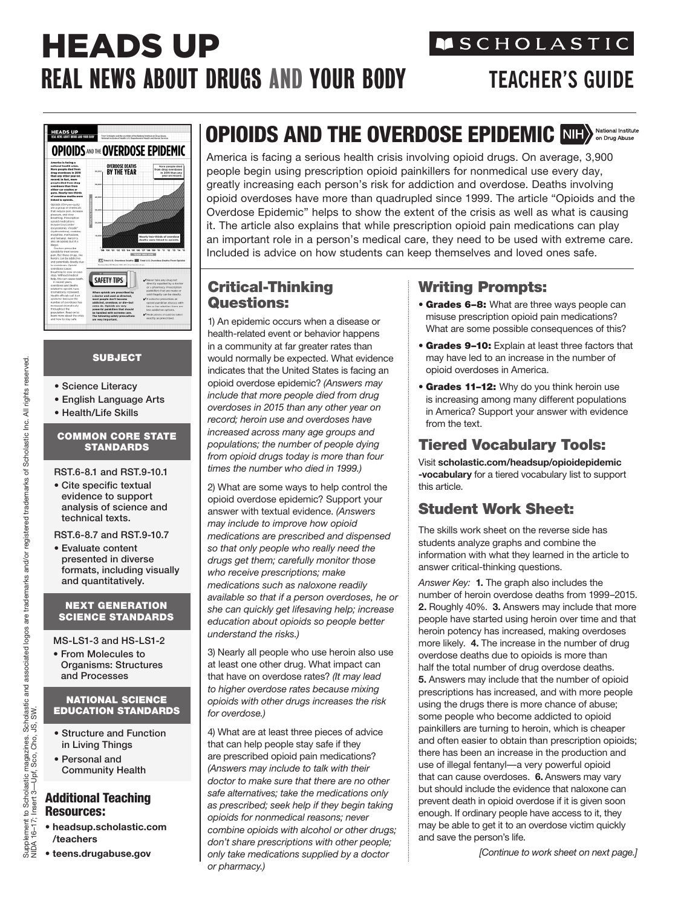# HEADS UP REAL NEWS ABOUT DRUGS AND YOUR BODY **TEACHER'S GUIDE**

# **MSCHOLASTIC**



#### **SUBJECT**

- Science Literacy
- English Language Arts
- Health/Life Skills

#### COMMON CORE STATE **STANDARDS**

- RST.6-8.1 and RST.9-10.1
- Cite specific textual evidence to support analysis of science and technical texts.

RST.6-8.7 and RST.9-10.7

• Evaluate content presented in diverse formats, including visually and quantitatively.

#### NEXT GENERATION SCIENCE STANDARDS

MS-LS1-3 and HS-LS1-2

• From Molecules to Organisms: Structures and Processes

#### NATIONAL SCIENCE EDUCATION STANDARDS

- Structure and Function in Living Things
- Personal and Community Health

#### Additional Teaching Resources:

- **[headsup.scholastic.com](http://headsup.scholastic.com/teacher) /teachers**
- **[teens.drugabuse.gov](http://teens.drugabuse.gov)**

## OPIOIDS AND THE OVERDOSE EPIDEMIC NIHA Mational Institute

America is facing a serious health crisis involving opioid drugs. On average, 3,900 people begin using prescription opioid painkillers for nonmedical use every day, greatly increasing each person's risk for addiction and overdose. Deaths involving opioid overdoses have more than quadrupled since 1999. The article "Opioids and the Overdose Epidemic" helps to show the extent of the crisis as well as what is causing it. The article also explains that while prescription opioid pain medications can play an important role in a person's medical care, they need to be used with extreme care. Included is advice on how students can keep themselves and loved ones safe.

#### Critical-Thinking Questions:

1) An epidemic occurs when a disease or health-related event or behavior happens in a community at far greater rates than would normally be expected. What evidence indicates that the United States is facing an opioid overdose epidemic? *(Answers may include that more people died from drug overdoses in 2015 than any other year on record; heroin use and overdoses have increased across many age groups and populations; the number of people dying from opioid drugs today is more than four times the number who died in 1999.)* 

2) What are some ways to help control the opioid overdose epidemic? Support your answer with textual evidence. *(Answers may include to improve how opioid medications are prescribed and dispensed so that only people who really need the drugs get them; carefully monitor those who receive prescriptions; make medications such as naloxone readily available so that if a person overdoses, he or she can quickly get lifesaving help; increase education about opioids so people better understand the risks.)* 

3) Nearly all people who use heroin also use at least one other drug. What impact can that have on overdose rates? *(It may lead to higher overdose rates because mixing opioids with other drugs increases the risk for overdose.)*

4) What are at least three pieces of advice that can help people stay safe if they are prescribed opioid pain medications? *(Answers may include to talk with their doctor to make sure that there are no other safe alternatives; take the medications only as prescribed; seek help if they begin taking opioids for nonmedical reasons; never combine opioids with alcohol or other drugs; don't share prescriptions with other people; only take medications supplied by a doctor or pharmacy.)*

#### Writing Prompts:

- **Grades 6-8:** What are three ways people can misuse prescription opioid pain medications? What are some possible consequences of this?
- Grades 9–10: Explain at least three factors that may have led to an increase in the number of opioid overdoses in America.
- Grades 11-12: Why do you think heroin use is increasing among many different populations in America? Support your answer with evidence from the text.

### Tiered Vocabulary Tools:

Visit **[scholastic.com/headsup/opioidepidemic](http://scholastic.com/headsup/opioidepidemic-vocabulary) -vocabulary** for a tiered vocabulary list to support this article.

#### Student Work Sheet:

The skills work sheet on the reverse side has students analyze graphs and combine the information with what they learned in the article to answer critical-thinking questions.

*Answer Key:* **1.** The graph also includes the number of heroin overdose deaths from 1999–2015. **2.** Roughly 40%. **3.** Answers may include that more people have started using heroin over time and that heroin potency has increased, making overdoses more likely. **4.** The increase in the number of drug overdose deaths due to opioids is more than half the total number of drug overdose deaths. **5.** Answers may include that the number of opioid prescriptions has increased, and with more people using the drugs there is more chance of abuse; some people who become addicted to opioid painkillers are turning to heroin, which is cheaper and often easier to obtain than prescription opioids; there has been an increase in the production and use of illegal fentanyl—a very powerful opioid that can cause overdoses. **6.** Answers may vary but should include the evidence that naloxone can prevent death in opioid overdose if it is given soon enough. If ordinary people have access to it, they may be able to get it to an overdose victim quickly and save the person's life.

*[Continue to work sheet on next page.]*